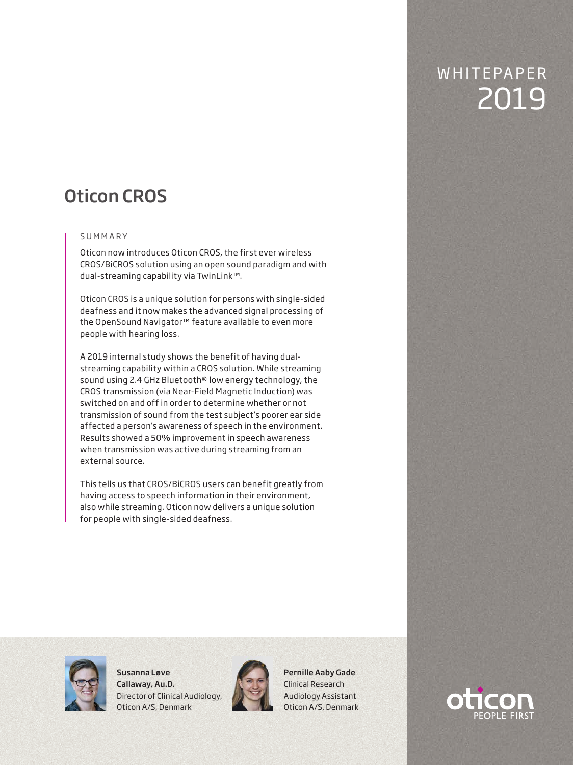# Oticon CROS

# S U M M A R Y

Oticon now introduces Oticon CROS, the first ever wireless CROS/BiCROS solution using an open sound paradigm and with dual-streaming capability via TwinLink™.

Oticon CROS is a unique solution for persons with single-sided deafness and it now makes the advanced signal processing of the OpenSound Navigator™ feature available to even more people with hearing loss.

A 2019 internal study shows the benefit of having dualstreaming capability within a CROS solution. While streaming sound using 2.4 GHz Bluetooth® low energy technology, the CROS transmission (via Near-Field Magnetic Induction) was switched on and off in order to determine whether or not transmission of sound from the test subject's poorer ear side affected a person's awareness of speech in the environment. Results showed a 50% improvement in speech awareness when transmission was active during streaming from an external source.

This tells us that CROS/BiCROS users can benefit greatly from having access to speech information in their environment, also while streaming. Oticon now delivers a unique solution for people with single-sided deafness.



Susanna Løve Callaway, Au.D. Director of Clinical Audiology, Oticon A/S, Denmark



Pernille Aaby Gade Clinical Research Audiology Assistant Oticon A/S, Denmark



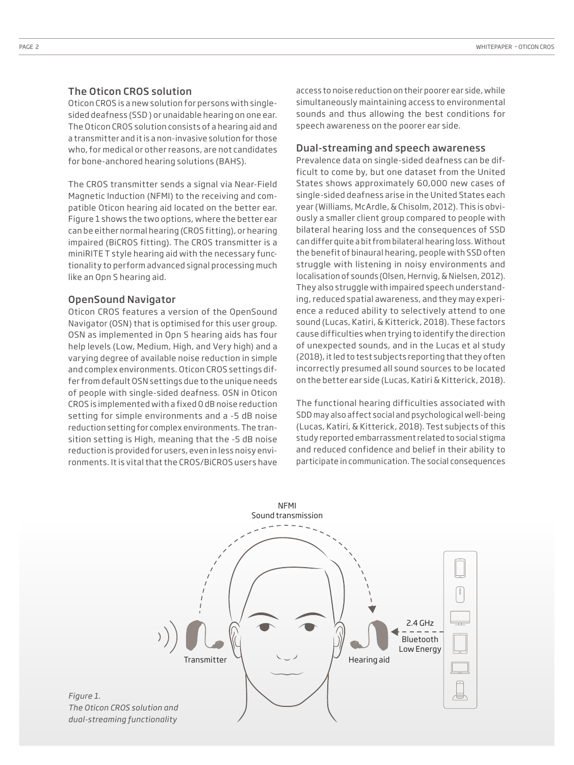## The Oticon CROS solution

Oticon CROS is a new solution for persons with singlesided deafness (SSD ) or unaidable hearing on one ear. The Oticon CROS solution consists of a hearing aid and a transmitter and it is a non-invasive solution for those who, for medical or other reasons, are not candidates for bone-anchored hearing solutions (BAHS).

The CROS transmitter sends a signal via Near-Field Magnetic Induction (NFMI) to the receiving and compatible Oticon hearing aid located on the better ear. Figure 1 shows the two options, where the better ear can be either normal hearing (CROS fitting), or hearing impaired (BiCROS fitting). The CROS transmitter is a miniRITE T style hearing aid with the necessary functionality to perform advanced signal processing much like an Opn S hearing aid.

#### OpenSound Navigator

Oticon CROS features a version of the OpenSound Navigator (OSN) that is optimised for this user group. OSN as implemented in Opn S hearing aids has four help levels (Low, Medium, High, and Very high) and a varying degree of available noise reduction in simple and complex environments. Oticon CROS settings differ from default OSN settings due to the unique needs of people with single-sided deafness. OSN in Oticon CROS is implemented with a fixed 0 dB noise reduction setting for simple environments and a -5 dB noise reduction setting for complex environments. The transition setting is High, meaning that the -5 dB noise reduction is provided for users, even in less noisy environments. It is vital that the CROS/BiCROS users have

access to noise reduction on their poorer ear side, while simultaneously maintaining access to environmental sounds and thus allowing the best conditions for speech awareness on the poorer ear side.

#### Dual-streaming and speech awareness

Prevalence data on single-sided deafness can be difficult to come by, but one dataset from the United States shows approximately 60,000 new cases of single-sided deafness arise in the United States each year (Williams, McArdle, & Chisolm, 2012). This is obviously a smaller client group compared to people with bilateral hearing loss and the consequences of SSD can differ quite a bit from bilateral hearing loss. Without the benefit of binaural hearing, people with SSD often struggle with listening in noisy environments and localisation of sounds (Olsen, Hernvig, & Nielsen, 2012). They also struggle with impaired speech understanding, reduced spatial awareness, and they may experience a reduced ability to selectively attend to one sound (Lucas, Katiri, & Kitterick, 2018). These factors cause difficulties when trying to identify the direction of unexpected sounds, and in the Lucas et al study (2018), it led to test subjects reporting that they often incorrectly presumed all sound sources to be located on the better ear side (Lucas, Katiri & Kitterick, 2018).

The functional hearing difficulties associated with SDD may also affect social and psychological well-being (Lucas, Katiri, & Kitterick, 2018). Test subjects of this study reported embarrassment related to social stigma and reduced confidence and belief in their ability to participate in communication. The social consequences



*Figure 1. The Oticon CROS solution and dual-streaming functionality*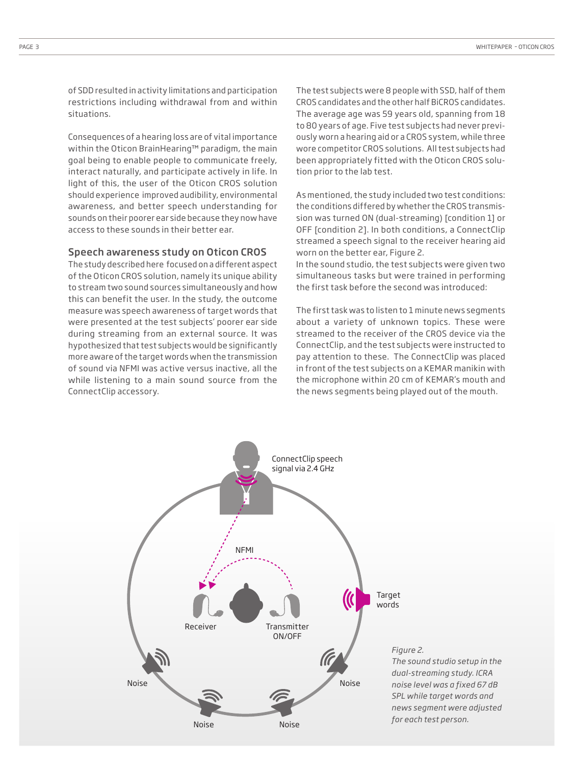of SDD resulted in activity limitations and participation restrictions including withdrawal from and within situations.

Consequences of a hearing loss are of vital importance within the Oticon BrainHearing™ paradigm, the main goal being to enable people to communicate freely, interact naturally, and participate actively in life. In light of this, the user of the Oticon CROS solution should experience improved audibility, environmental awareness, and better speech understanding for sounds on their poorer ear side because they now have access to these sounds in their better ear.

#### Speech awareness study on Oticon CROS

The study described here focused on a different aspect of the Oticon CROS solution, namely its unique ability to stream two sound sources simultaneously and how this can benefit the user. In the study, the outcome measure was speech awareness of target words that were presented at the test subjects' poorer ear side during streaming from an external source. It was hypothesized that test subjects would be significantly more aware of the target words when the transmission of sound via NFMI was active versus inactive, all the while listening to a main sound source from the ConnectClip accessory.

The test subjects were 8 people with SSD, half of them CROS candidates and the other half BiCROS candidates. The average age was 59 years old, spanning from 18 to 80 years of age. Five test subjects had never previously worn a hearing aid or a CROS system, while three wore competitor CROS solutions. All test subjects had been appropriately fitted with the Oticon CROS solution prior to the lab test.

As mentioned, the study included two test conditions: the conditions differed by whether the CROS transmission was turned ON (dual-streaming) [condition 1] or OFF [condition 2]. In both conditions, a ConnectClip streamed a speech signal to the receiver hearing aid worn on the better ear, Figure 2.

In the sound studio, the test subjects were given two simultaneous tasks but were trained in performing the first task before the second was introduced:

The first task was to listen to 1 minute news segments about a variety of unknown topics. These were streamed to the receiver of the CROS device via the ConnectClip, and the test subjects were instructed to pay attention to these. The ConnectClip was placed in front of the test subjects on a KEMAR manikin with the microphone within 20 cm of KEMAR's mouth and the news segments being played out of the mouth.

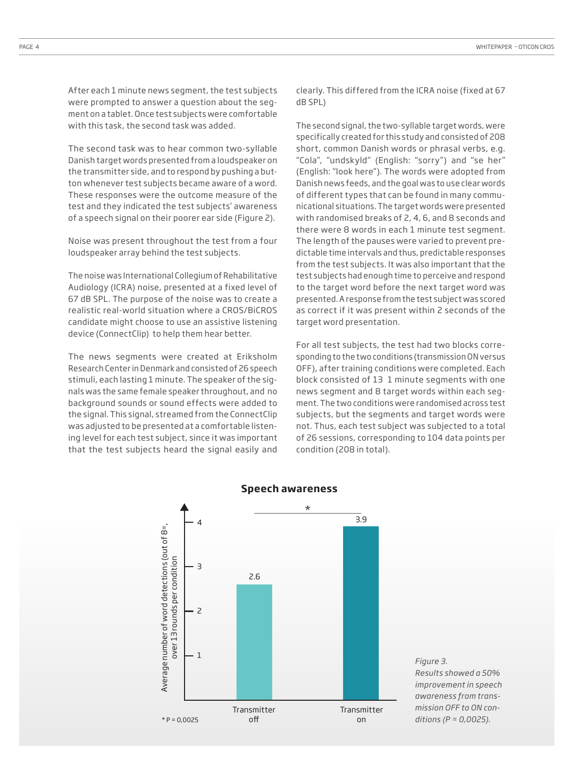After each 1 minute news segment, the test subjects were prompted to answer a question about the segment on a tablet. Once test subjects were comfortable with this task, the second task was added.

The second task was to hear common two-syllable Danish target words presented from a loudspeaker on the transmitter side, and to respond by pushing a button whenever test subjects became aware of a word. These responses were the outcome measure of the test and they indicated the test subjects' awareness of a speech signal on their poorer ear side (Figure 2).

Noise was present throughout the test from a four loudspeaker array behind the test subjects.

The noise was International Collegium of Rehabilitative Audiology (ICRA) noise, presented at a fixed level of 67 dB SPL. The purpose of the noise was to create a realistic real-world situation where a CROS/BiCROS candidate might choose to use an assistive listening device (ConnectClip) to help them hear better.

The news segments were created at Eriksholm Research Center in Denmark and consisted of 26 speech stimuli, each lasting 1 minute. The speaker of the signals was the same female speaker throughout, and no background sounds or sound effects were added to the signal. This signal, streamed from the ConnectClip was adjusted to be presented at a comfortable listening level for each test subject, since it was important that the test subjects heard the signal easily and

clearly. This differed from the ICRA noise (fixed at 67 dB SPL)

The second signal, the two-syllable target words, were specifically created for this study and consisted of 208 short, common Danish words or phrasal verbs, e.g. "Cola", "undskyld" (English: "sorry") and "se her" (English: "look here"). The words were adopted from Danish news feeds, and the goal was to use clear words of different types that can be found in many communicational situations. The target words were presented with randomised breaks of 2, 4, 6, and 8 seconds and there were 8 words in each 1 minute test segment. The length of the pauses were varied to prevent predictable time intervals and thus, predictable responses from the test subjects. It was also important that the test subjects had enough time to perceive and respond to the target word before the next target word was presented. A response from the test subject was scored as correct if it was present within 2 seconds of the target word presentation.

For all test subjects, the test had two blocks corresponding to the two conditions (transmission ON versus OFF), after training conditions were completed. Each block consisted of 13 1 minute segments with one news segment and 8 target words within each segment. The two conditions were randomised across test subjects, but the segments and target words were not. Thus, each test subject was subjected to a total of 26 sessions, corresponding to 104 data points per condition (208 in total).



### **Speech awareness**

*Figure 3. Results showed a 50% improvement in speech awareness from transmission OFF to ON conditions (P = 0,0025).*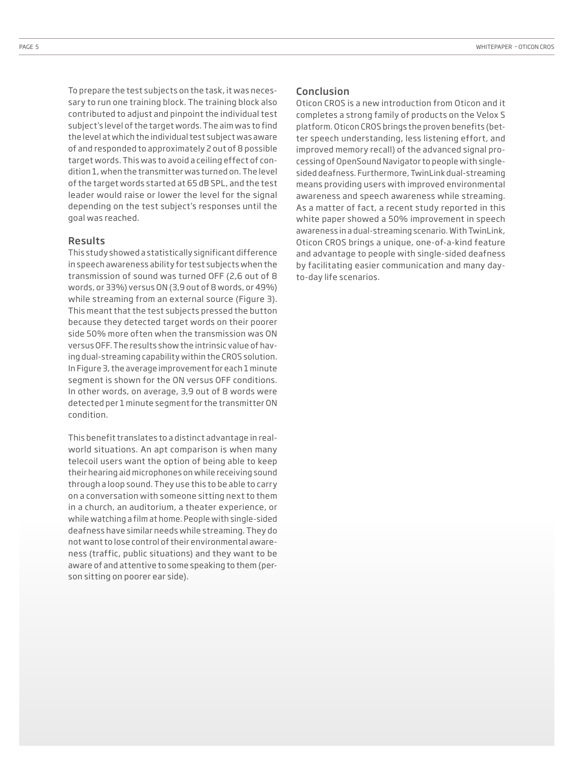To prepare the test subjects on the task, it was necessary to run one training block. The training block also contributed to adjust and pinpoint the individual test subject's level of the target words. The aim was to find the level at which the individual test subject was aware of and responded to approximately 2 out of 8 possible target words. This was to avoid a ceiling effect of condition 1, when the transmitter was turned on. The level of the target words started at 65 dB SPL, and the test leader would raise or lower the level for the signal depending on the test subject's responses until the goal was reached.

# Results

This study showed a statistically significant difference in speech awareness ability for test subjects when the transmission of sound was turned OFF (2,6 out of 8 words, or 33%) versus ON (3,9 out of 8 words, or 49%) while streaming from an external source (Figure 3). This meant that the test subjects pressed the button because they detected target words on their poorer side 50% more often when the transmission was ON versus OFF. The results show the intrinsic value of having dual-streaming capability within the CROS solution. In Figure 3, the average improvement for each 1 minute segment is shown for the ON versus OFF conditions. In other words, on average, 3,9 out of 8 words were detected per 1 minute segment for the transmitter ON condition.

This benefit translates to a distinct advantage in realworld situations. An apt comparison is when many telecoil users want the option of being able to keep their hearing aid microphones on while receiving sound through a loop sound. They use this to be able to carry on a conversation with someone sitting next to them in a church, an auditorium, a theater experience, or while watching a film at home. People with single-sided deafness have similar needs while streaming. They do not want to lose control of their environmental awareness (traffic, public situations) and they want to be aware of and attentive to some speaking to them (person sitting on poorer ear side).

## Conclusion

Oticon CROS is a new introduction from Oticon and it completes a strong family of products on the Velox S platform. Oticon CROS brings the proven benefits (better speech understanding, less listening effort, and improved memory recall) of the advanced signal processing of OpenSound Navigator to people with singlesided deafness. Furthermore, TwinLink dual-streaming means providing users with improved environmental awareness and speech awareness while streaming. As a matter of fact, a recent study reported in this white paper showed a 50% improvement in speech awareness in a dual-streaming scenario. With TwinLink, Oticon CROS brings a unique, one-of-a-kind feature and advantage to people with single-sided deafness by facilitating easier communication and many dayto-day life scenarios.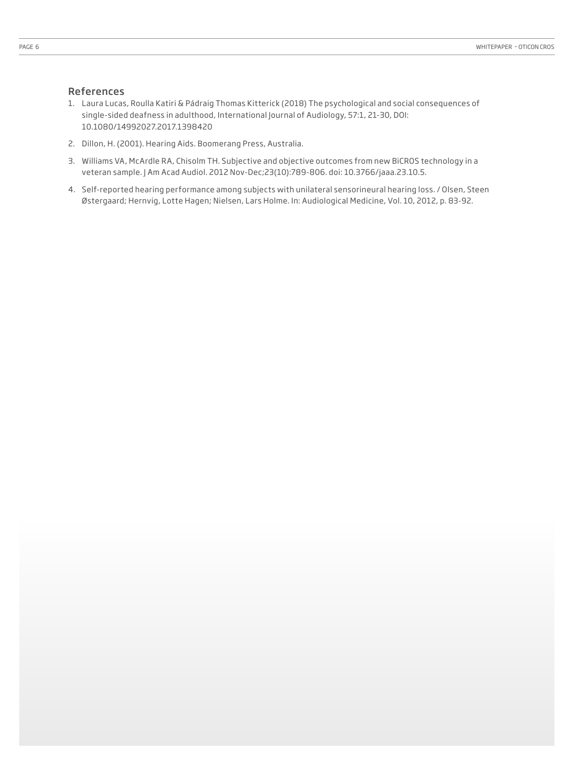## References

- 1. Laura Lucas, Roulla Katiri & Pádraig Thomas Kitterick (2018) The psychological and social consequences of single-sided deafness in adulthood, International Journal of Audiology, 57:1, 21-30, DOI: 10.1080/14992027.2017.1398420
- 2. Dillon, H. (2001). Hearing Aids. Boomerang Press, Australia.
- 3. Williams VA, McArdle RA, Chisolm TH. Subjective and objective outcomes from new BiCROS technology in a veteran sample. J Am Acad Audiol. 2012 Nov-Dec;23(10):789-806. doi: 10.3766/jaaa.23.10.5.
- 4. Self-reported hearing performance among subjects with unilateral sensorineural hearing loss. / Olsen, Steen Østergaard; Hernvig, Lotte Hagen; Nielsen, Lars Holme. In: Audiological Medicine, Vol. 10, 2012, p. 83-92.